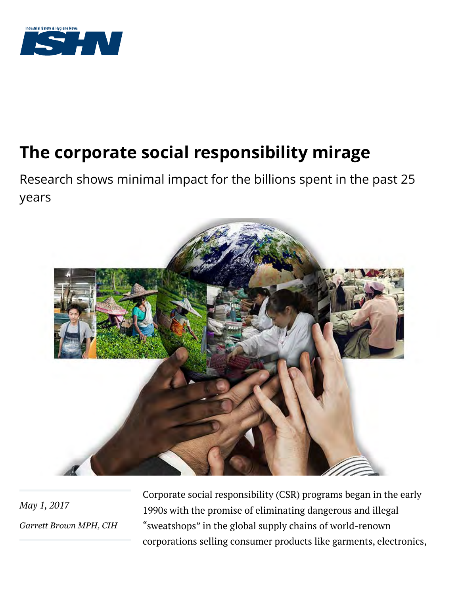

# **The corporate social responsibility mirage**

Research shows minimal impact for the billions spent in the past 25 years



*May 1, 2017 [Garrett Brown MPH, CIH](http://www.ishn.com/authors/1927-garrett-brown)* Corporate social responsibility (CSR) programs began in the early 1990s with the promise of eliminating dangerous and illegal "sweatshops" in the global supply chains of world-renown corporations selling consumer products like garments, electronics,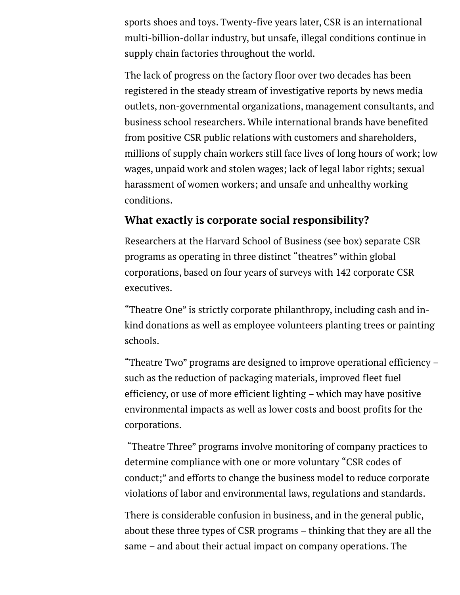sports shoes and toys. Twenty-five years later, CSR is an international multi-billion-dollar industry, but unsafe, illegal conditions continue in supply chain factories throughout the world.

The lack of progress on the factory floor over two decades has been registered in the steady stream of investigative reports by news media outlets, non-governmental organizations, management consultants, and business school researchers. While international brands have benefited from positive CSR public relations with customers and shareholders, millions of supply chain workers still face lives of long hours of work; low wages, unpaid work and stolen wages; lack of legal labor rights; sexual harassment of women workers; and unsafe and unhealthy working conditions.

# **What exactly is corporate social responsibility?**

Researchers at the Harvard School of Business (see box) separate CSR programs as operating in three distinct "theatres" within global corporations, based on four years of surveys with 142 corporate CSR executives.

"Theatre One" is strictly corporate philanthropy, including cash and inkind donations as well as employee volunteers planting trees or painting schools.

"Theatre Two" programs are designed to improve operational efficiency – such as the reduction of packaging materials, improved fleet fuel efficiency, or use of more efficient lighting – which may have positive environmental impacts as well as lower costs and boost profits for the corporations.

 "Theatre Three" programs involve monitoring of company practices to determine compliance with one or more voluntary "CSR codes of conduct;" and efforts to change the business model to reduce corporate violations of labor and environmental laws, regulations and standards.

There is considerable confusion in business, and in the general public, about these three types of CSR programs – thinking that they are all the same – and about their actual impact on company operations. The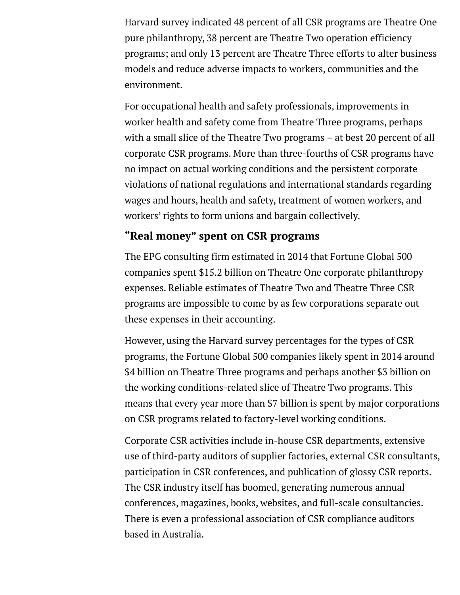Harvard survey indicated 48 percent of all CSR programs are Theatre One pure philanthropy, 38 percent are Theatre Two operation efficiency programs; and only 13 percent are Theatre Three efforts to alter business models and reduce adverse impacts to workers, communities and the environment.

For occupational health and safety professionals, improvements in worker health and safety come from Theatre Three programs, perhaps with a small slice of the Theatre Two programs – at best 20 percent of all corporate CSR programs. More than three-fourths of CSR programs have no impact on actual working conditions and the persistent corporate violations of national regulations and international standards regarding wages and hours, health and safety, treatment of women workers, and workers' rights to form unions and bargain collectively.

## **"Real money" spent on CSR programs**

The EPG consulting firm estimated in 2014 that Fortune Global 500 companies spent \$15.2 billion on Theatre One corporate philanthropy expenses. Reliable estimates of Theatre Two and Theatre Three CSR programs are impossible to come by as few corporations separate out these expenses in their accounting.

However, using the Harvard survey percentages for the types of CSR programs, the Fortune Global 500 companies likely spent in 2014 around \$4 billion on Theatre Three programs and perhaps another \$3 billion on the working conditions-related slice of Theatre Two programs. This means that every year more than \$7 billion is spent by major corporations on CSR programs related to factory-level working conditions.

Corporate CSR activities include in-house CSR departments, extensive use of third-party auditors of supplier factories, external CSR consultants, participation in CSR conferences, and publication of glossy CSR reports. The CSR industry itself has boomed, generating numerous annual conferences, magazines, books, websites, and full-scale consultancies. There is even a professional association of CSR compliance auditors based in Australia.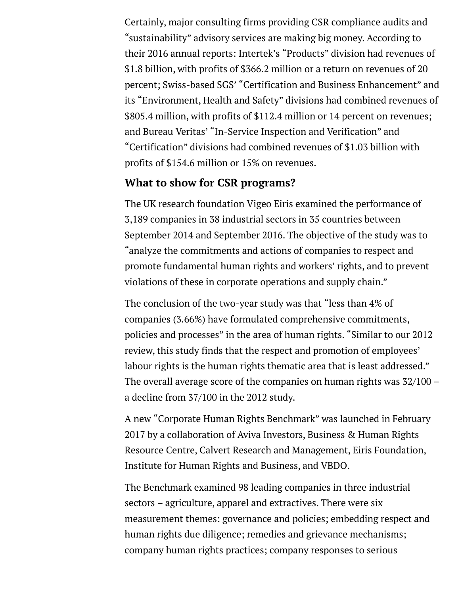Certainly, major consulting firms providing CSR compliance audits and "sustainability" advisory services are making big money. According to their 2016 annual reports: Intertek's "Products" division had revenues of \$1.8 billion, with profits of \$366.2 million or a return on revenues of 20 percent; Swiss-based SGS' "Certification and Business Enhancement" and its "Environment, Health and Safety" divisions had combined revenues of \$805.4 million, with profits of \$112.4 million or 14 percent on revenues; and Bureau Veritas' "In-Service Inspection and Verification" and "Certification" divisions had combined revenues of \$1.03 billion with profits of \$154.6 million or 15% on revenues.

### **What to show for CSR programs?**

The UK research foundation Vigeo Eiris examined the performance of 3,189 companies in 38 industrial sectors in 35 countries between September 2014 and September 2016. The objective of the study was to "analyze the commitments and actions of companies to respect and promote fundamental human rights and workers' rights, and to prevent violations of these in corporate operations and supply chain."

The conclusion of the two-year study was that "less than 4% of companies (3.66%) have formulated comprehensive commitments, policies and processes" in the area of human rights. "Similar to our 2012 review, this study finds that the respect and promotion of employees' labour rights is the human rights thematic area that is least addressed." The overall average score of the companies on human rights was 32/100 – a decline from 37/100 in the 2012 study.

A new "Corporate Human Rights Benchmark" was launched in February 2017 by a collaboration of Aviva Investors, Business & Human Rights Resource Centre, Calvert Research and Management, Eiris Foundation, Institute for Human Rights and Business, and VBDO.

The Benchmark examined 98 leading companies in three industrial sectors – agriculture, apparel and extractives. There were six measurement themes: governance and policies; embedding respect and human rights due diligence; remedies and grievance mechanisms; company human rights practices; company responses to serious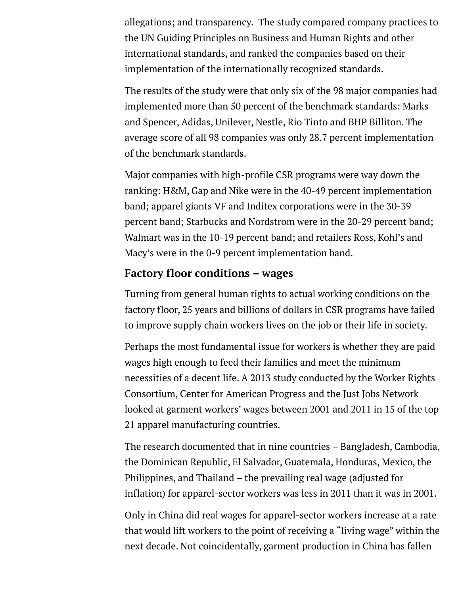allegations; and transparency. The study compared company practices to the UN Guiding Principles on Business and Human Rights and other international standards, and ranked the companies based on their implementation of the internationally recognized standards.

The results of the study were that only six of the 98 major companies had implemented more than 50 percent of the benchmark standards: Marks and Spencer, Adidas, Unilever, Nestle, Rio Tinto and BHP Billiton. The average score of all 98 companies was only 28.7 percent implementation of the benchmark standards.

Major companies with high-profile CSR programs were way down the ranking: H&M, Gap and Nike were in the 40-49 percent implementation band; apparel giants VF and Inditex corporations were in the 30-39 percent band; Starbucks and Nordstrom were in the 20-29 percent band; Walmart was in the 10-19 percent band; and retailers Ross, Kohl's and Macy's were in the 0-9 percent implementation band.

#### **Factory floor conditions – wages**

Turning from general human rights to actual working conditions on the factory floor, 25 years and billions of dollars in CSR programs have failed to improve supply chain workers lives on the job or their life in society.

Perhaps the most fundamental issue for workers is whether they are paid wages high enough to feed their families and meet the minimum necessities of a decent life. A 2013 study conducted by the Worker Rights Consortium, Center for American Progress and the Just Jobs Network looked at garment workers' wages between 2001 and 2011 in 15 of the top 21 apparel manufacturing countries.

The research documented that in nine countries – Bangladesh, Cambodia, the Dominican Republic, El Salvador, Guatemala, Honduras, Mexico, the Philippines, and Thailand – the prevailing real wage (adjusted for inflation) for apparel-sector workers was less in 2011 than it was in 2001.

Only in China did real wages for apparel-sector workers increase at a rate that would lift workers to the point of receiving a "living wage" within the next decade. Not coincidentally, garment production in China has fallen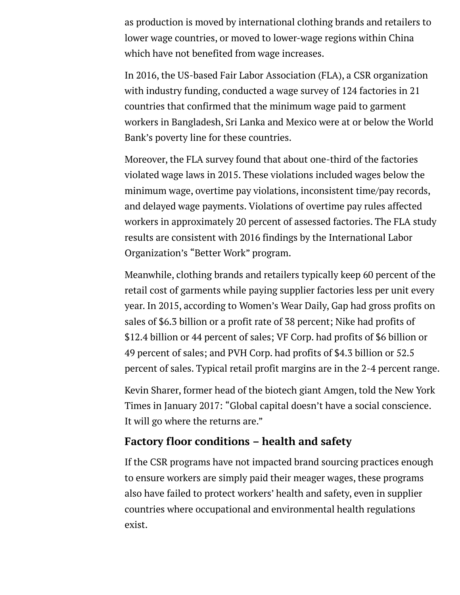as production is moved by international clothing brands and retailers to lower wage countries, or moved to lower-wage regions within China which have not benefited from wage increases.

In 2016, the US-based Fair Labor Association (FLA), a CSR organization with industry funding, conducted a wage survey of 124 factories in 21 countries that confirmed that the minimum wage paid to garment workers in Bangladesh, Sri Lanka and Mexico were at or below the World Bank's poverty line for these countries.

Moreover, the FLA survey found that about one-third of the factories violated wage laws in 2015. These violations included wages below the minimum wage, overtime pay violations, inconsistent time/pay records, and delayed wage payments. Violations of overtime pay rules affected workers in approximately 20 percent of assessed factories. The FLA study results are consistent with 2016 findings by the International Labor Organization's "Better Work" program.

Meanwhile, clothing brands and retailers typically keep 60 percent of the retail cost of garments while paying supplier factories less per unit every year. In 2015, according to Women's Wear Daily, Gap had gross profits on sales of \$6.3 billion or a profit rate of 38 percent; Nike had profits of \$12.4 billion or 44 percent of sales; VF Corp. had profits of \$6 billion or 49 percent of sales; and PVH Corp. had profits of \$4.3 billion or 52.5 percent of sales. Typical retail profit margins are in the 2-4 percent range.

Kevin Sharer, former head of the biotech giant Amgen, told the New York Times in January 2017: "Global capital doesn't have a social conscience. It will go where the returns are."

# **Factory floor conditions – health and safety**

If the CSR programs have not impacted brand sourcing practices enough to ensure workers are simply paid their meager wages, these programs also have failed to protect workers' health and safety, even in supplier countries where occupational and environmental health regulations exist.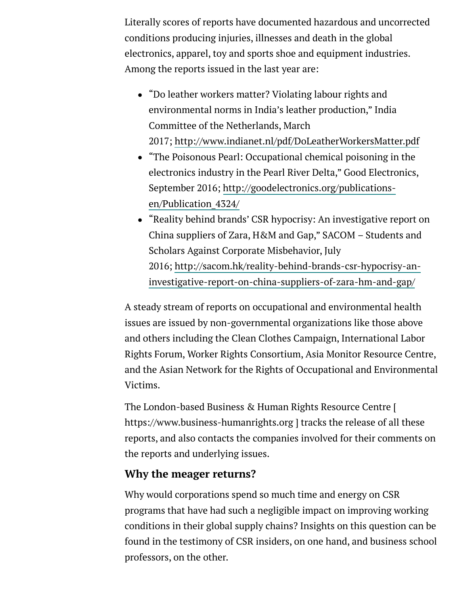Literally scores of reports have documented hazardous and uncorrected conditions producing injuries, illnesses and death in the global electronics, apparel, toy and sports shoe and equipment industries. Among the reports issued in the last year are:

- "Do leather workers matter? Violating labour rights and environmental norms in India's leather production," India Committee of the Netherlands, March 2017; <http://www.indianet.nl/pdf/DoLeatherWorkersMatter.pdf>
- "The Poisonous Pearl: Occupational chemical poisoning in the electronics industry in the Pearl River Delta," Good Electronics, [September 2016; http://goodelectronics.org/publications](http://goodelectronics.org/publications-en/Publication_4324/)en/Publication\_4324/
- "Reality behind brands' CSR hypocrisy: An investigative report on China suppliers of Zara, H&M and Gap," SACOM – Students and Scholars Against Corporate Misbehavior, July [2016; http://sacom.hk/reality-behind-brands-csr-hypocrisy-an](http://sacom.hk/reality-behind-brands-csr-hypocrisy-an-investigative-report-on-china-suppliers-of-zara-hm-and-gap/)investigative-report-on-china-suppliers-of-zara-hm-and-gap/

A steady stream of reports on occupational and environmental health issues are issued by non-governmental organizations like those above and others including the Clean Clothes Campaign, International Labor Rights Forum, Worker Rights Consortium, Asia Monitor Resource Centre, and the Asian Network for the Rights of Occupational and Environmental Victims.

The London-based Business & Human Rights Resource Centre [ https://www.business-humanrights.org ] tracks the release of all these reports, and also contacts the companies involved for their comments on the reports and underlying issues.

# **Why the meager returns?**

Why would corporations spend so much time and energy on CSR programs that have had such a negligible impact on improving working conditions in their global supply chains? Insights on this question can be found in the testimony of CSR insiders, on one hand, and business school professors, on the other.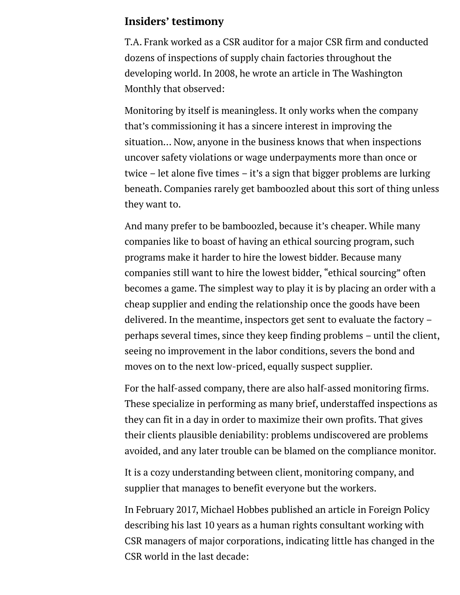#### **Insiders' testimony**

T.A. Frank worked as a CSR auditor for a major CSR firm and conducted dozens of inspections of supply chain factories throughout the developing world. In 2008, he wrote an article in The Washington Monthly that observed:

Monitoring by itself is meaningless. It only works when the company that's commissioning it has a sincere interest in improving the situation… Now, anyone in the business knows that when inspections uncover safety violations or wage underpayments more than once or twice – let alone five times – it's a sign that bigger problems are lurking beneath. Companies rarely get bamboozled about this sort of thing unless they want to.

And many prefer to be bamboozled, because it's cheaper. While many companies like to boast of having an ethical sourcing program, such programs make it harder to hire the lowest bidder. Because many companies still want to hire the lowest bidder, "ethical sourcing" often becomes a game. The simplest way to play it is by placing an order with a cheap supplier and ending the relationship once the goods have been delivered. In the meantime, inspectors get sent to evaluate the factory – perhaps several times, since they keep finding problems – until the client, seeing no improvement in the labor conditions, severs the bond and moves on to the next low-priced, equally suspect supplier.

For the half-assed company, there are also half-assed monitoring firms. These specialize in performing as many brief, understaffed inspections as they can fit in a day in order to maximize their own profits. That gives their clients plausible deniability: problems undiscovered are problems avoided, and any later trouble can be blamed on the compliance monitor.

It is a cozy understanding between client, monitoring company, and supplier that manages to benefit everyone but the workers.

In February 2017, Michael Hobbes published an article in Foreign Policy describing his last 10 years as a human rights consultant working with CSR managers of major corporations, indicating little has changed in the CSR world in the last decade: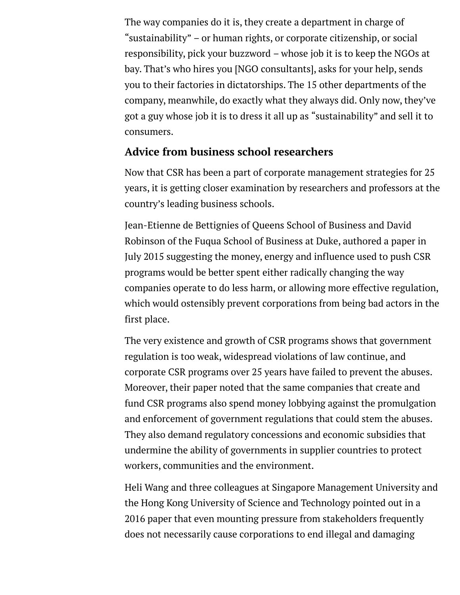The way companies do it is, they create a department in charge of "sustainability" – or human rights, or corporate citizenship, or social responsibility, pick your buzzword – whose job it is to keep the NGOs at bay. That's who hires you [NGO consultants], asks for your help, sends you to their factories in dictatorships. The 15 other departments of the company, meanwhile, do exactly what they always did. Only now, they've got a guy whose job it is to dress it all up as "sustainability" and sell it to consumers.

#### **Advice from business school researchers**

Now that CSR has been a part of corporate management strategies for 25 years, it is getting closer examination by researchers and professors at the country's leading business schools.

Jean-Etienne de Bettignies of Queens School of Business and David Robinson of the Fuqua School of Business at Duke, authored a paper in July 2015 suggesting the money, energy and influence used to push CSR programs would be better spent either radically changing the way companies operate to do less harm, or allowing more effective regulation, which would ostensibly prevent corporations from being bad actors in the first place.

The very existence and growth of CSR programs shows that government regulation is too weak, widespread violations of law continue, and corporate CSR programs over 25 years have failed to prevent the abuses. Moreover, their paper noted that the same companies that create and fund CSR programs also spend money lobbying against the promulgation and enforcement of government regulations that could stem the abuses. They also demand regulatory concessions and economic subsidies that undermine the ability of governments in supplier countries to protect workers, communities and the environment.

Heli Wang and three colleagues at Singapore Management University and the Hong Kong University of Science and Technology pointed out in a 2016 paper that even mounting pressure from stakeholders frequently does not necessarily cause corporations to end illegal and damaging